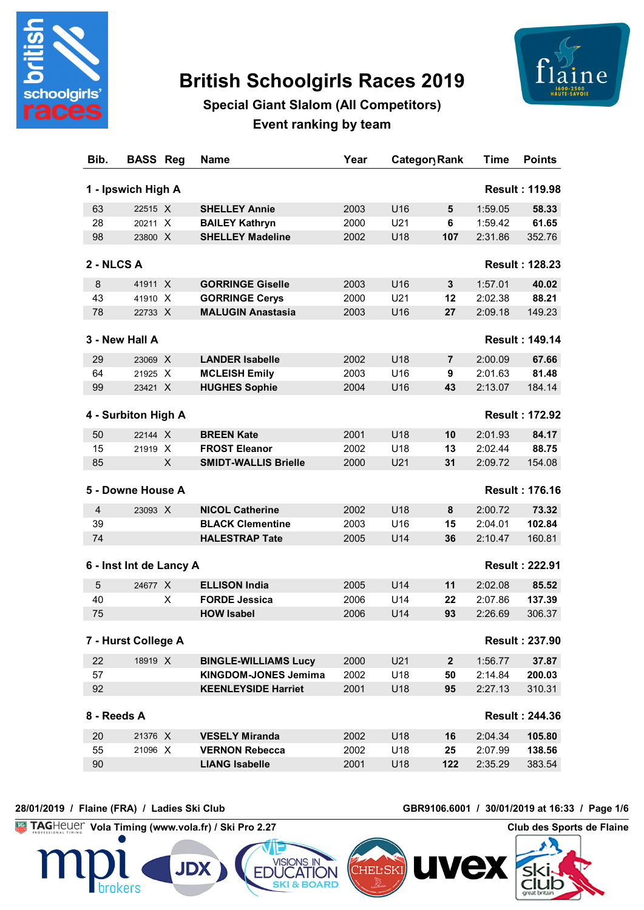

# **British Schoolgirls Races 2019**



## **Special Giant Slalom (All Competitors) Event ranking by team**

| Bib.           | <b>BASS Reg</b>         |   | <b>Name</b>                 | Year |     | Category Rank  | <b>Time</b> | <b>Points</b>         |
|----------------|-------------------------|---|-----------------------------|------|-----|----------------|-------------|-----------------------|
|                | 1 - Ipswich High A      |   |                             |      |     |                |             | <b>Result: 119.98</b> |
| 63             | 22515 X                 |   | <b>SHELLEY Annie</b>        | 2003 | U16 | 5              | 1:59.05     | 58.33                 |
| 28             | 20211 X                 |   | <b>BAILEY Kathryn</b>       | 2000 | U21 | 6              | 1:59.42     | 61.65                 |
| 98             | 23800 X                 |   | <b>SHELLEY Madeline</b>     | 2002 | U18 | 107            | 2:31.86     | 352.76                |
| 2 - NLCS A     |                         |   |                             |      |     |                |             | <b>Result: 128.23</b> |
| 8              | 41911 X                 |   | <b>GORRINGE Giselle</b>     | 2003 | U16 | 3              | 1:57.01     | 40.02                 |
| 43             | 41910 X                 |   | <b>GORRINGE Cerys</b>       | 2000 | U21 | 12             | 2:02.38     | 88.21                 |
| 78             | 22733 X                 |   | <b>MALUGIN Anastasia</b>    | 2003 | U16 | 27             | 2:09.18     | 149.23                |
|                | 3 - New Hall A          |   |                             |      |     |                |             | <b>Result: 149.14</b> |
| 29             | 23069 X                 |   | <b>LANDER Isabelle</b>      | 2002 | U18 | $\overline{7}$ | 2:00.09     | 67.66                 |
| 64             | 21925 X                 |   | <b>MCLEISH Emily</b>        | 2003 | U16 | 9              | 2:01.63     | 81.48                 |
| 99             | 23421 X                 |   | <b>HUGHES Sophie</b>        | 2004 | U16 | 43             | 2:13.07     | 184.14                |
|                | 4 - Surbiton High A     |   |                             |      |     |                |             | <b>Result: 172.92</b> |
| 50             | 22144 X                 |   | <b>BREEN Kate</b>           | 2001 | U18 | 10             | 2:01.93     | 84.17                 |
| 15             | 21919 X                 |   | <b>FROST Eleanor</b>        | 2002 | U18 | 13             | 2:02.44     | 88.75                 |
| 85             |                         | X | <b>SMIDT-WALLIS Brielle</b> | 2000 | U21 | 31             | 2:09.72     | 154.08                |
|                | 5 - Downe House A       |   |                             |      |     |                |             | <b>Result: 176.16</b> |
| $\overline{4}$ | 23093 X                 |   | <b>NICOL Catherine</b>      | 2002 | U18 | 8              | 2:00.72     | 73.32                 |
| 39             |                         |   | <b>BLACK Clementine</b>     | 2003 | U16 | 15             | 2:04.01     | 102.84                |
| 74             |                         |   | <b>HALESTRAP Tate</b>       | 2005 | U14 | 36             | 2:10.47     | 160.81                |
|                |                         |   |                             |      |     |                |             |                       |
|                | 6 - Inst Int de Lancy A |   |                             |      |     |                |             | <b>Result: 222.91</b> |
| 5              | 24677 X                 |   | <b>ELLISON India</b>        | 2005 | U14 | 11             | 2:02.08     | 85.52                 |
| 40             |                         | X | <b>FORDE Jessica</b>        | 2006 | U14 | 22             | 2:07.86     | 137.39                |
| 75             |                         |   | <b>HOW Isabel</b>           | 2006 | U14 | 93             | 2:26.69     | 306.37                |
|                | 7 - Hurst College A     |   |                             |      |     |                |             | <b>Result: 237.90</b> |
| 22             | 18919 X                 |   | <b>BINGLE-WILLIAMS Lucy</b> | 2000 | U21 | $\mathbf{2}$   | 1:56.77     | 37.87                 |
| 57             |                         |   | <b>KINGDOM-JONES Jemima</b> | 2002 | U18 | 50             | 2:14.84     | 200.03                |
| 92             |                         |   | <b>KEENLEYSIDE Harriet</b>  | 2001 | U18 | 95             | 2:27.13     | 310.31                |
| 8 - Reeds A    |                         |   |                             |      |     |                |             | <b>Result: 244.36</b> |
| 20             | 21376 X                 |   | <b>VESELY Miranda</b>       | 2002 | U18 | 16             | 2:04.34     | 105.80                |
| 55             | 21096 X                 |   | <b>VERNON Rebecca</b>       | 2002 | U18 | 25             | 2:07.99     | 138.56                |
| 90             |                         |   | <b>LIANG Isabelle</b>       | 2001 | U18 | 122            | 2:35.29     | 383.54                |

#### **28/01/2019 / Flaine (FRA) / Ladies Ski Club GBR9106.6001 / 30/01/2019 at 16:33 / Page 1/6**

CIUD

**Vola Timing (www.vola.fr) / Ski Pro 2.27 Club des Sports de Flaine** 

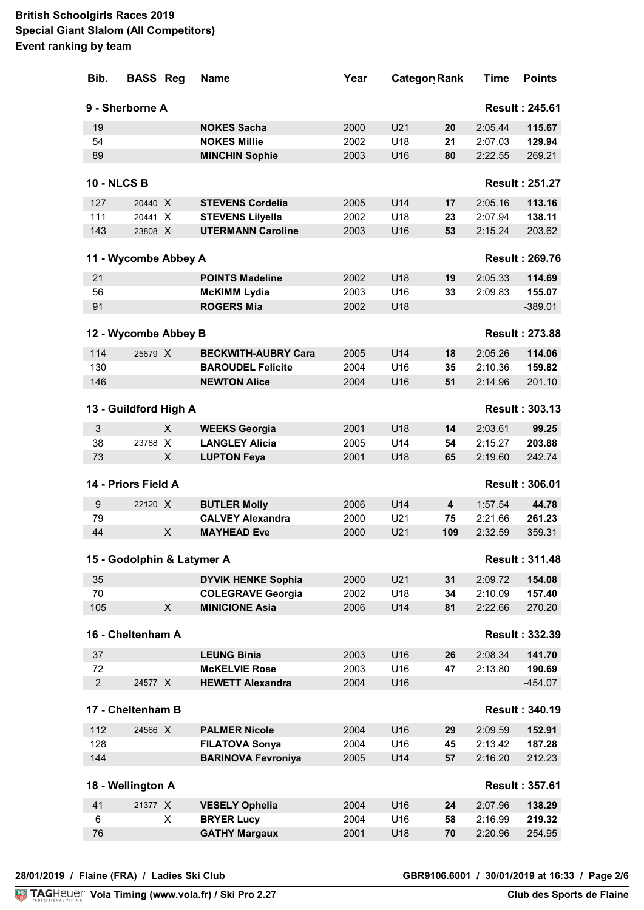| Bib.           | <b>BASS Reg</b>            |   | <b>Name</b>                                       | Year         |            | Categor Rank | Time               | <b>Points</b>         |
|----------------|----------------------------|---|---------------------------------------------------|--------------|------------|--------------|--------------------|-----------------------|
|                | 9 - Sherborne A            |   |                                                   |              |            |              |                    | <b>Result: 245.61</b> |
| 19             |                            |   | <b>NOKES Sacha</b>                                | 2000         | U21        | 20           | 2:05.44            | 115.67                |
| 54             |                            |   | <b>NOKES Millie</b>                               | 2002         | U18        | 21           | 2:07.03            | 129.94                |
| 89             |                            |   | <b>MINCHIN Sophie</b>                             | 2003         | U16        | 80           | 2:22.55            | 269.21                |
|                |                            |   |                                                   |              |            |              |                    |                       |
|                | <b>10 - NLCS B</b>         |   |                                                   |              |            |              |                    | <b>Result: 251.27</b> |
| 127            | 20440 X                    |   | <b>STEVENS Cordelia</b>                           | 2005         | U14        | 17           | 2:05.16            | 113.16                |
| 111            | 20441 X                    |   | <b>STEVENS Lilyella</b>                           | 2002         | U18        | 23           | 2:07.94            | 138.11                |
| 143            | 23808 X                    |   | <b>UTERMANN Caroline</b>                          | 2003         | U16        | 53           | 2:15.24            | 203.62                |
|                | 11 - Wycombe Abbey A       |   |                                                   |              |            |              |                    | <b>Result: 269.76</b> |
| 21             |                            |   | <b>POINTS Madeline</b>                            | 2002         | U18        | 19           | 2:05.33            | 114.69                |
| 56             |                            |   | <b>McKIMM Lydia</b>                               | 2003         | U16        | 33           | 2:09.83            | 155.07                |
| 91             |                            |   | <b>ROGERS Mia</b>                                 | 2002         | U18        |              |                    | $-389.01$             |
|                | 12 - Wycombe Abbey B       |   |                                                   |              |            |              |                    | <b>Result: 273.88</b> |
|                |                            |   |                                                   |              |            |              |                    |                       |
| 114            | 25679 X                    |   | <b>BECKWITH-AUBRY Cara</b>                        | 2005         | U14        | 18           | 2:05.26            | 114.06                |
| 130            |                            |   | <b>BAROUDEL Felicite</b>                          | 2004         | U16        | 35           | 2:10.36<br>2:14.96 | 159.82                |
| 146            |                            |   | <b>NEWTON Alice</b>                               | 2004         | U16        | 51           |                    | 201.10                |
|                | 13 - Guildford High A      |   |                                                   |              |            |              |                    | <b>Result: 303.13</b> |
| 3              |                            | X | <b>WEEKS Georgia</b>                              | 2001         | U18        | 14           | 2:03.61            | 99.25                 |
| 38             | 23788 X                    |   | <b>LANGLEY Alicia</b>                             | 2005         | U14        | 54           | 2:15.27            | 203.88                |
| 73             |                            | X | <b>LUPTON Feya</b>                                | 2001         | U18        | 65           | 2:19.60            | 242.74                |
|                | 14 - Priors Field A        |   |                                                   |              |            |              |                    | <b>Result: 306.01</b> |
| 9              | 22120 X                    |   | <b>BUTLER Molly</b>                               | 2006         | U14        | 4            | 1:57.54            | 44.78                 |
| 79             |                            |   | <b>CALVEY Alexandra</b>                           | 2000         | U21        | 75           | 2:21.66            | 261.23                |
| 44             |                            | X | <b>MAYHEAD Eve</b>                                | 2000         | U21        | 109          | 2:32.59            | 359.31                |
|                | 15 - Godolphin & Latymer A |   |                                                   |              |            |              |                    | <b>Result: 311.48</b> |
|                |                            |   |                                                   |              |            |              |                    |                       |
| 35<br>70       |                            |   | <b>DYVIK HENKE Sophia</b>                         | 2000         | U21<br>U18 | 31           | 2:09.72            | 154.08<br>157.40      |
| 105            |                            | X | <b>COLEGRAVE Georgia</b><br><b>MINICIONE Asia</b> | 2002<br>2006 | U14        | 34<br>81     | 2:10.09<br>2:22.66 | 270.20                |
|                |                            |   |                                                   |              |            |              |                    |                       |
|                | 16 - Cheltenham A          |   |                                                   |              |            |              |                    | <b>Result: 332.39</b> |
| 37             |                            |   | <b>LEUNG Binia</b>                                | 2003         | U16        | 26           | 2:08.34            | 141.70                |
| 72             |                            |   | <b>McKELVIE Rose</b>                              | 2003         | U16        | 47           | 2:13.80            | 190.69                |
| $\overline{c}$ | 24577 X                    |   | <b>HEWETT Alexandra</b>                           | 2004         | U16        |              |                    | $-454.07$             |
|                | 17 - Cheltenham B          |   |                                                   |              |            |              |                    | <b>Result: 340.19</b> |
| 112            | 24566 X                    |   | <b>PALMER Nicole</b>                              | 2004         | U16        | 29           | 2:09.59            | 152.91                |
| 128            |                            |   | <b>FILATOVA Sonya</b>                             | 2004         | U16        | 45           | 2:13.42            | 187.28                |
| 144            |                            |   | <b>BARINOVA Fevroniya</b>                         | 2005         | U14        | 57           | 2:16.20            | 212.23                |
|                | 18 - Wellington A          |   |                                                   |              |            |              |                    | <b>Result: 357.61</b> |
|                |                            |   |                                                   |              |            |              |                    |                       |
| 41             | 21377 X                    |   | <b>VESELY Ophelia</b>                             | 2004         | U16        | 24           | 2:07.96            | 138.29                |
| 6              |                            | X | <b>BRYER Lucy</b>                                 | 2004         | U16        | 58           | 2:16.99            | 219.32                |
| 76             |                            |   | <b>GATHY Margaux</b>                              | 2001         | U18        | 70           | 2:20.96            | 254.95                |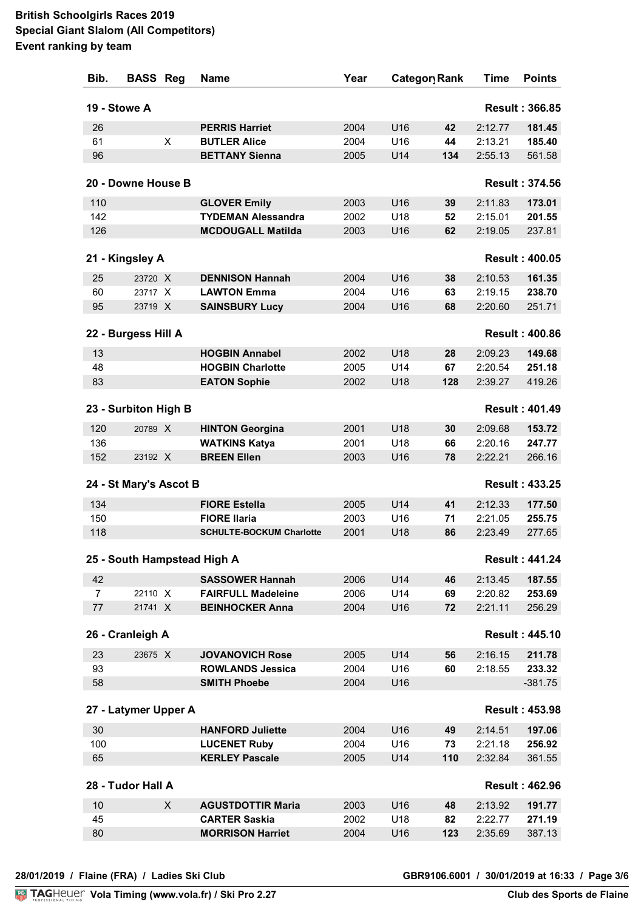| Bib.           | <b>BASS Reg</b>        |   | <b>Name</b>                     | Year |                 | Category Rank | Time    | <b>Points</b>         |
|----------------|------------------------|---|---------------------------------|------|-----------------|---------------|---------|-----------------------|
|                | 19 - Stowe A           |   |                                 |      |                 |               |         | <b>Result: 366.85</b> |
| 26             |                        |   | <b>PERRIS Harriet</b>           | 2004 | U16             | 42            | 2:12.77 | 181.45                |
| 61             |                        | X | <b>BUTLER Alice</b>             | 2004 | U16             | 44            | 2:13.21 | 185.40                |
| 96             |                        |   | <b>BETTANY Sienna</b>           | 2005 | U14             | 134           | 2:55.13 | 561.58                |
|                |                        |   |                                 |      |                 |               |         |                       |
|                | 20 - Downe House B     |   |                                 |      |                 |               |         | <b>Result: 374.56</b> |
| 110            |                        |   | <b>GLOVER Emily</b>             | 2003 | U16             | 39            | 2:11.83 | 173.01                |
| 142            |                        |   | <b>TYDEMAN Alessandra</b>       | 2002 | U18             | 52            | 2:15.01 | 201.55                |
| 126            |                        |   | <b>MCDOUGALL Matilda</b>        | 2003 | U16             | 62            | 2:19.05 | 237.81                |
|                | 21 - Kingsley A        |   |                                 |      |                 |               |         | <b>Result: 400.05</b> |
| 25             | 23720 X                |   | <b>DENNISON Hannah</b>          | 2004 | U16             | 38            | 2:10.53 | 161.35                |
| 60             | 23717 X                |   | <b>LAWTON Emma</b>              | 2004 | U16             | 63            | 2:19.15 | 238.70                |
| 95             | 23719 X                |   | <b>SAINSBURY Lucy</b>           | 2004 | U16             | 68            | 2:20.60 | 251.71                |
|                |                        |   |                                 |      |                 |               |         |                       |
|                | 22 - Burgess Hill A    |   |                                 |      |                 |               |         | <b>Result: 400.86</b> |
| 13             |                        |   | <b>HOGBIN Annabel</b>           | 2002 | U18             | 28            | 2:09.23 | 149.68                |
| 48             |                        |   | <b>HOGBIN Charlotte</b>         | 2005 | U14             | 67            | 2:20.54 | 251.18                |
| 83             |                        |   | <b>EATON Sophie</b>             | 2002 | U18             | 128           | 2:39.27 | 419.26                |
|                | 23 - Surbiton High B   |   |                                 |      |                 |               |         | <b>Result: 401.49</b> |
| 120            | 20789 X                |   | <b>HINTON Georgina</b>          | 2001 | U18             | 30            | 2:09.68 | 153.72                |
| 136            |                        |   | <b>WATKINS Katya</b>            | 2001 | U18             | 66            | 2:20.16 | 247.77                |
| 152            | 23192 X                |   | <b>BREEN Ellen</b>              | 2003 | U16             | 78            | 2:22.21 | 266.16                |
|                | 24 - St Mary's Ascot B |   |                                 |      |                 |               |         | <b>Result: 433.25</b> |
| 134            |                        |   | <b>FIORE Estella</b>            | 2005 | U14             | 41            | 2:12.33 | 177.50                |
| 150            |                        |   | <b>FIORE Ilaria</b>             | 2003 | U16             | 71            | 2:21.05 | 255.75                |
| 118            |                        |   | <b>SCHULTE-BOCKUM Charlotte</b> | 2001 | U18             | 86            | 2:23.49 | 277.65                |
|                |                        |   | 25 - South Hampstead High A     |      |                 |               |         | <b>Result: 441.24</b> |
| 42             |                        |   | <b>SASSOWER Hannah</b>          | 2006 | U14             | 46            | 2:13.45 | 187.55                |
| $\overline{7}$ | 22110 X                |   | <b>FAIRFULL Madeleine</b>       | 2006 | U14             | 69            | 2:20.82 | 253.69                |
| $77\,$         | 21741 X                |   | <b>BEINHOCKER Anna</b>          | 2004 | U16             | 72            | 2:21.11 | 256.29                |
|                | 26 - Cranleigh A       |   |                                 |      |                 |               |         | <b>Result: 445.10</b> |
| 23             | 23675 X                |   | <b>JOVANOVICH Rose</b>          | 2005 | U <sub>14</sub> | 56            | 2:16.15 | 211.78                |
| 93             |                        |   | <b>ROWLANDS Jessica</b>         | 2004 | U16             | 60            | 2:18.55 | 233.32                |
| 58             |                        |   | <b>SMITH Phoebe</b>             | 2004 | U16             |               |         | $-381.75$             |
|                |                        |   |                                 |      |                 |               |         |                       |
|                | 27 - Latymer Upper A   |   |                                 |      |                 |               |         | <b>Result: 453.98</b> |
| 30             |                        |   | <b>HANFORD Juliette</b>         | 2004 | U16             | 49            | 2:14.51 | 197.06                |
| 100            |                        |   | <b>LUCENET Ruby</b>             | 2004 | U16             | 73            | 2:21.18 | 256.92                |
| 65             |                        |   | <b>KERLEY Pascale</b>           | 2005 | U14             | 110           | 2:32.84 | 361.55                |
|                | 28 - Tudor Hall A      |   |                                 |      |                 |               |         | <b>Result: 462.96</b> |
| 10             |                        | X | <b>AGUSTDOTTIR Maria</b>        | 2003 | U16             | 48            | 2:13.92 | 191.77                |
| 45             |                        |   | <b>CARTER Saskia</b>            | 2002 | U18             | 82            | 2:22.77 | 271.19                |
| 80             |                        |   | <b>MORRISON Harriet</b>         | 2004 | U16             | 123           | 2:35.69 | 387.13                |
|                |                        |   |                                 |      |                 |               |         |                       |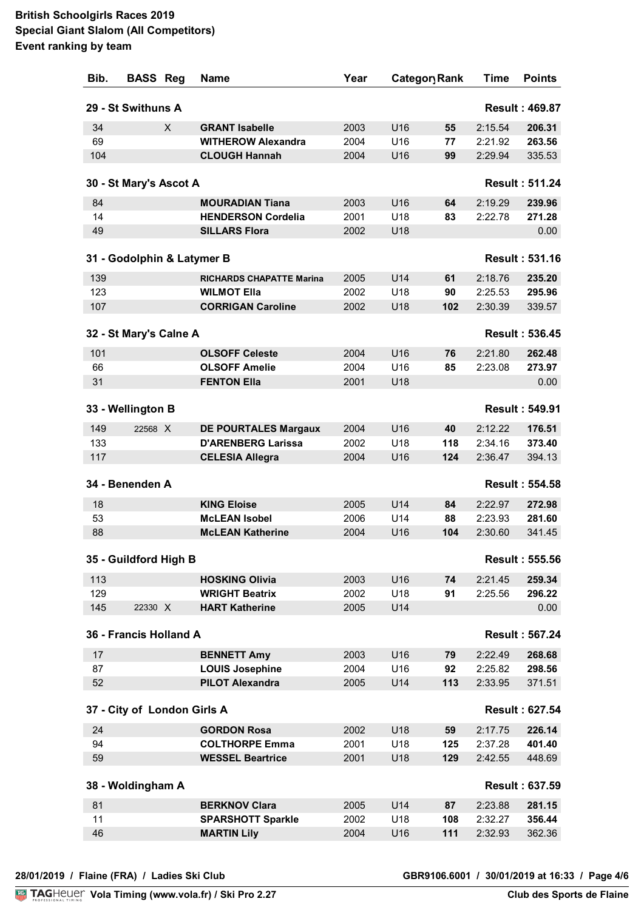| Bib. | <b>BASS Reg</b>             |   | <b>Name</b>                     | Year |     | Category Rank | Time    | <b>Points</b>         |
|------|-----------------------------|---|---------------------------------|------|-----|---------------|---------|-----------------------|
|      | 29 - St Swithuns A          |   |                                 |      |     |               |         | <b>Result: 469.87</b> |
| 34   |                             | X | <b>GRANT Isabelle</b>           | 2003 | U16 | 55            | 2:15.54 | 206.31                |
| 69   |                             |   | <b>WITHEROW Alexandra</b>       | 2004 | U16 | 77            | 2:21.92 | 263.56                |
| 104  |                             |   | <b>CLOUGH Hannah</b>            | 2004 | U16 | 99            | 2:29.94 | 335.53                |
|      | 30 - St Mary's Ascot A      |   |                                 |      |     |               |         | <b>Result: 511.24</b> |
| 84   |                             |   | <b>MOURADIAN Tiana</b>          | 2003 | U16 | 64            | 2:19.29 | 239.96                |
| 14   |                             |   | <b>HENDERSON Cordelia</b>       | 2001 | U18 | 83            | 2:22.78 | 271.28                |
| 49   |                             |   | <b>SILLARS Flora</b>            | 2002 | U18 |               |         | 0.00                  |
|      | 31 - Godolphin & Latymer B  |   |                                 |      |     |               |         | <b>Result: 531.16</b> |
| 139  |                             |   | <b>RICHARDS CHAPATTE Marina</b> | 2005 | U14 | 61            | 2:18.76 | 235.20                |
| 123  |                             |   | <b>WILMOT Ella</b>              | 2002 | U18 | 90            | 2:25.53 | 295.96                |
| 107  |                             |   | <b>CORRIGAN Caroline</b>        | 2002 | U18 | 102           | 2:30.39 | 339.57                |
|      | 32 - St Mary's Calne A      |   |                                 |      |     |               |         | <b>Result: 536.45</b> |
| 101  |                             |   | <b>OLSOFF Celeste</b>           | 2004 | U16 | 76            | 2:21.80 | 262.48                |
| 66   |                             |   | <b>OLSOFF Amelie</b>            | 2004 | U16 | 85            | 2:23.08 | 273.97                |
| 31   |                             |   | <b>FENTON Ella</b>              | 2001 | U18 |               |         | 0.00                  |
|      | 33 - Wellington B           |   |                                 |      |     |               |         | <b>Result: 549.91</b> |
| 149  | 22568 X                     |   | <b>DE POURTALES Margaux</b>     | 2004 | U16 | 40            | 2:12.22 | 176.51                |
| 133  |                             |   | <b>D'ARENBERG Larissa</b>       | 2002 | U18 | 118           | 2:34.16 | 373.40                |
| 117  |                             |   | <b>CELESIA Allegra</b>          | 2004 | U16 | 124           | 2:36.47 | 394.13                |
|      | 34 - Benenden A             |   |                                 |      |     |               |         | <b>Result: 554.58</b> |
| 18   |                             |   | <b>KING Eloise</b>              | 2005 | U14 | 84            | 2:22.97 | 272.98                |
| 53   |                             |   | <b>McLEAN Isobel</b>            | 2006 | U14 | 88            | 2:23.93 | 281.60                |
| 88   |                             |   | <b>McLEAN Katherine</b>         | 2004 | U16 | 104           | 2:30.60 | 341.45                |
|      | 35 - Guildford High B       |   |                                 |      |     |               |         | <b>Result: 555.56</b> |
| 113  |                             |   | <b>HOSKING Olivia</b>           | 2003 | U16 | 74            | 2:21.45 | 259.34                |
| 129  |                             |   | <b>WRIGHT Beatrix</b>           | 2002 | U18 | 91            | 2:25.56 | 296.22                |
| 145  | 22330 X                     |   | <b>HART Katherine</b>           | 2005 | U14 |               |         | 0.00                  |
|      | 36 - Francis Holland A      |   |                                 |      |     |               |         | <b>Result: 567.24</b> |
| 17   |                             |   | <b>BENNETT Amy</b>              | 2003 | U16 | 79            | 2:22.49 | 268.68                |
| 87   |                             |   | <b>LOUIS Josephine</b>          | 2004 | U16 | 92            | 2:25.82 | 298.56                |
| 52   |                             |   | <b>PILOT Alexandra</b>          | 2005 | U14 | 113           | 2:33.95 | 371.51                |
|      | 37 - City of London Girls A |   |                                 |      |     |               |         | <b>Result: 627.54</b> |
| 24   |                             |   | <b>GORDON Rosa</b>              | 2002 | U18 | 59            | 2:17.75 | 226.14                |
| 94   |                             |   | <b>COLTHORPE Emma</b>           | 2001 | U18 | 125           | 2:37.28 | 401.40                |
| 59   |                             |   | <b>WESSEL Beartrice</b>         | 2001 | U18 | 129           | 2:42.55 | 448.69                |
|      | 38 - Woldingham A           |   |                                 |      |     |               |         | <b>Result: 637.59</b> |
| 81   |                             |   | <b>BERKNOV Clara</b>            | 2005 | U14 | 87            | 2:23.88 | 281.15                |
| 11   |                             |   | <b>SPARSHOTT Sparkle</b>        | 2002 | U18 | 108           | 2:32.27 | 356.44                |
| 46   |                             |   | <b>MARTIN Lily</b>              | 2004 | U16 | 111           | 2:32.93 | 362.36                |
|      |                             |   |                                 |      |     |               |         |                       |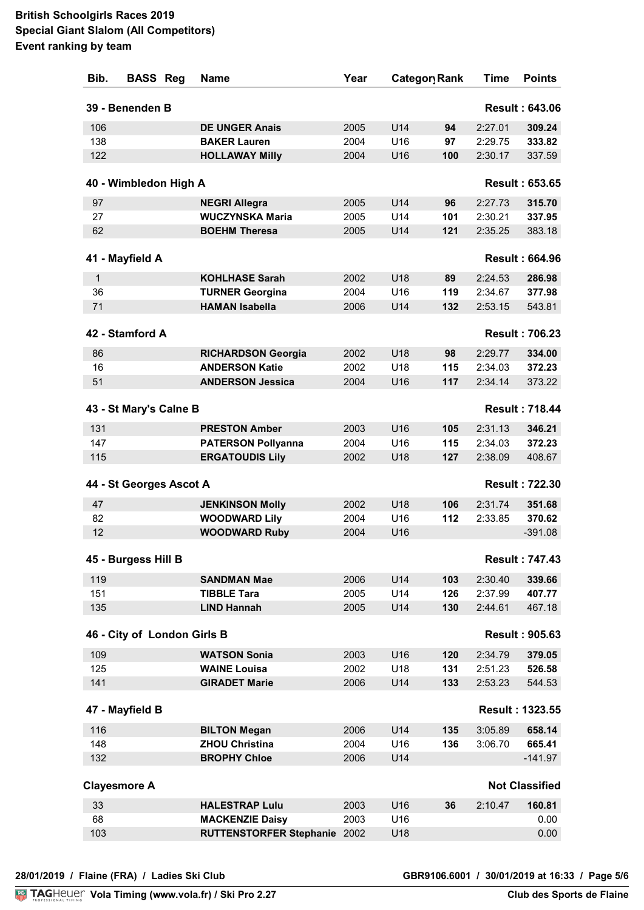| Bib. | <b>BASS Reg</b>             | <b>Name</b>                         | Year |     | Category Rank | Time    | <b>Points</b>          |
|------|-----------------------------|-------------------------------------|------|-----|---------------|---------|------------------------|
|      | 39 - Benenden B             |                                     |      |     |               |         | <b>Result: 643.06</b>  |
| 106  |                             | <b>DE UNGER Anais</b>               | 2005 | U14 | 94            | 2:27.01 | 309.24                 |
| 138  |                             | <b>BAKER Lauren</b>                 | 2004 | U16 | 97            | 2:29.75 | 333.82                 |
| 122  |                             | <b>HOLLAWAY Milly</b>               | 2004 | U16 | 100           | 2:30.17 | 337.59                 |
|      | 40 - Wimbledon High A       |                                     |      |     |               |         | <b>Result: 653.65</b>  |
| 97   |                             | <b>NEGRI Allegra</b>                | 2005 | U14 | 96            | 2:27.73 | 315.70                 |
| 27   |                             | <b>WUCZYNSKA Maria</b>              | 2005 | U14 | 101           | 2:30.21 | 337.95                 |
| 62   |                             | <b>BOEHM Theresa</b>                | 2005 | U14 | 121           | 2:35.25 | 383.18                 |
|      |                             |                                     |      |     |               |         |                        |
|      | 41 - Mayfield A             |                                     |      |     |               |         | <b>Result: 664.96</b>  |
| 1    |                             | <b>KOHLHASE Sarah</b>               | 2002 | U18 | 89            | 2:24.53 | 286.98                 |
| 36   |                             | <b>TURNER Georgina</b>              | 2004 | U16 | 119           | 2:34.67 | 377.98                 |
| 71   |                             | <b>HAMAN Isabella</b>               | 2006 | U14 | 132           | 2:53.15 | 543.81                 |
|      |                             |                                     |      |     |               |         |                        |
|      | 42 - Stamford A             |                                     |      |     |               |         | <b>Result: 706.23</b>  |
| 86   |                             | <b>RICHARDSON Georgia</b>           | 2002 | U18 | 98            | 2:29.77 | 334.00                 |
| 16   |                             | <b>ANDERSON Katie</b>               | 2002 | U18 | 115           | 2:34.03 | 372.23                 |
| 51   |                             | <b>ANDERSON Jessica</b>             | 2004 | U16 | 117           | 2:34.14 | 373.22                 |
|      | 43 - St Mary's Calne B      |                                     |      |     |               |         | <b>Result: 718.44</b>  |
| 131  |                             | <b>PRESTON Amber</b>                | 2003 | U16 | 105           | 2:31.13 | 346.21                 |
| 147  |                             | <b>PATERSON Pollyanna</b>           | 2004 | U16 | 115           | 2:34.03 | 372.23                 |
| 115  |                             | <b>ERGATOUDIS Lily</b>              | 2002 | U18 | 127           | 2:38.09 | 408.67                 |
|      | 44 - St Georges Ascot A     |                                     |      |     |               |         | <b>Result: 722.30</b>  |
| 47   |                             | <b>JENKINSON Molly</b>              | 2002 | U18 | 106           | 2:31.74 | 351.68                 |
| 82   |                             | <b>WOODWARD Lily</b>                | 2004 | U16 | 112           | 2:33.85 | 370.62                 |
| 12   |                             | <b>WOODWARD Ruby</b>                | 2004 | U16 |               |         | $-391.08$              |
|      | 45 - Burgess Hill B         |                                     |      |     |               |         | <b>Result: 747.43</b>  |
| 119  |                             | <b>SANDMAN Mae</b>                  | 2006 | U14 | 103           | 2:30.40 | 339.66                 |
| 151  |                             | <b>TIBBLE Tara</b>                  | 2005 | U14 | 126           | 2:37.99 | 407.77                 |
| 135  |                             | <b>LIND Hannah</b>                  | 2005 | U14 | 130           | 2:44.61 | 467.18                 |
|      | 46 - City of London Girls B |                                     |      |     |               |         | <b>Result: 905.63</b>  |
| 109  |                             | <b>WATSON Sonia</b>                 | 2003 | U16 | 120           | 2:34.79 | 379.05                 |
| 125  |                             | <b>WAINE Louisa</b>                 | 2002 | U18 | 131           | 2:51.23 | 526.58                 |
| 141  |                             | <b>GIRADET Marie</b>                | 2006 | U14 | 133           | 2:53.23 | 544.53                 |
|      | 47 - Mayfield B             |                                     |      |     |               |         | <b>Result: 1323.55</b> |
| 116  |                             | <b>BILTON Megan</b>                 | 2006 | U14 | 135           | 3:05.89 | 658.14                 |
| 148  |                             | <b>ZHOU Christina</b>               | 2004 | U16 | 136           | 3:06.70 | 665.41                 |
| 132  |                             | <b>BROPHY Chloe</b>                 | 2006 | U14 |               |         | $-141.97$              |
|      | <b>Clayesmore A</b>         |                                     |      |     |               |         | <b>Not Classified</b>  |
| 33   |                             | <b>HALESTRAP Lulu</b>               | 2003 | U16 | 36            | 2:10.47 | 160.81                 |
| 68   |                             | <b>MACKENZIE Daisy</b>              | 2003 | U16 |               |         | 0.00                   |
| 103  |                             | <b>RUTTENSTORFER Stephanie 2002</b> |      | U18 |               |         | 0.00                   |
|      |                             |                                     |      |     |               |         |                        |